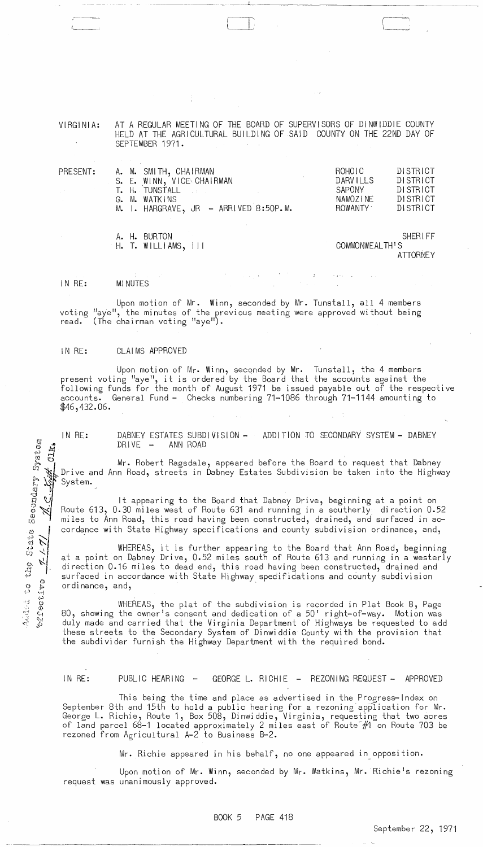VIRGINIA: AT A REGULAR MEETING OF THE BOARD OF SUPERVISORS OF DINWIDDIE COUNTY HELD AT THE AGRICULTURAL BUILDING OF SAID COUNTY ON THE 22ND DAY OF SEPTEMBER 1971.

I i '  $\overline{\phantom{a}}$ 

- -------------- -- -~-----'--- -----------------

| PRESENT:                   |  | A. M. SMITH, CHAIRMAN<br>S. E. WINN, VICE CHAIRMAN |  |  | ROHOIC<br><b>DARVILLS</b> | DISTRICT<br>DISTRICT |
|----------------------------|--|----------------------------------------------------|--|--|---------------------------|----------------------|
|                            |  | T. H. TUNSTALL AREA                                |  |  | SAPONY                    | <b>DISTRICT</b>      |
| $\mathcal{L}^{\text{max}}$ |  | G. M. WATKINS                                      |  |  | NAMOZINE                  | <b>DISTRICT</b>      |
|                            |  | M. I. HARGRAVE, JR - ARRIVED 8:50P.M.              |  |  | <b>ROWANTY</b>            | DISTRICT             |
|                            |  | A. H. BURTON                                       |  |  |                           | <b>SHERIFF</b>       |
|                            |  | H. T. WILL1AMS, 111                                |  |  | COMMONWEALTH'S            |                      |
|                            |  |                                                    |  |  |                           | <b>ATTORNEY</b>      |

IN RE: **MINUTES** 

Added to the State Secondary System

シイム

**CATEGOTAO** 

**Kyik** Clka

,------- J~ \_\_\_ ,

Upon motion of Mr. Winn, seconded by Mr. Tunstall, all 4 members voting "aye", the minutes of the previous meeting were approved without being<br>read. (The chairman voting "aye"). (The chairman voting "aye").

## IN RE: CLAIMS APPROVED

Upon motion of Mr. Winn, seconded by Mr. Tunstall, the 4 members present voting "aye", it is ordered by the Board that the accounts against the following funds for the month of August 1971 be issued payable out of the respective accounts. General Fund - Checks numbering 71-1086 through 71-1144 amounting to \$46,432.06.

IN RE: DABNEY ESTATES SUBDIVISION –<br>DRIVE – ANN ROAD ANN ROAD ADDITION TO SECONDARY SYSTEM - DABNEY

Mr. Robert Ragsdale, appeared before the Board to request that Dabney Drive and Ann Road, streets in Dabney Estates Subdivision be taken into the Highway System.

It appearing to the Board that Dabney Drive, beginning at a point on Route 613, 0.30 miles west of Route 631 and running in a southerly direction 0.52 miles to Ann Road, this road having been constructed, drained, and surfaced in accordance with State Highway specifications and county subdivision ordinance, and,

WHEREAS, it is further appearing to the Board that Ann Road, beginning at a point on Dabney Drive, 0.52 miles south of Route 613 and running in a westerly direction 0.16 miles to dead end, this road having been constructed, drained and surfaced in accordance with State Highway specifications and county subdivision ordinance, and, -

WHEREAS, the plat of the subdivision is recorded in Plat Book 8, Page 80, showing the owner's consent and dedication of a 50' right-of-way. Motion was duly made and carried that the Virginia Department of Highways be requested to add these streets to the Secondary System of Dinwiddie County with the provision that the subdivider furnish the Highway Department with the required bond.

IN RE: PUBLIC HEARING - GEORGE L. RICHIE - REZONING REQUEST - APPROVED

This being the time and place as advertised in the Progress-Index on September 8th and 15th to hold a public hearing for a rezoning application for Mr. George L. Richie, Route 1, Box 508, Dinwiddie, Virginia, requesting that two acres of land parcel 68-1 located approximately 2 miles east of Route-#1 on Route 703 be rezoned from Agricultural A-2 to Business B-2.

Mr. Richie appeared in his behalf, no one appeared in opposition.

Upon motion of Mr. Winn, seconded by Mr. Watkins, Mr. Richie's rezoning request was unanimously approved.

BOOK 5 PAGE 418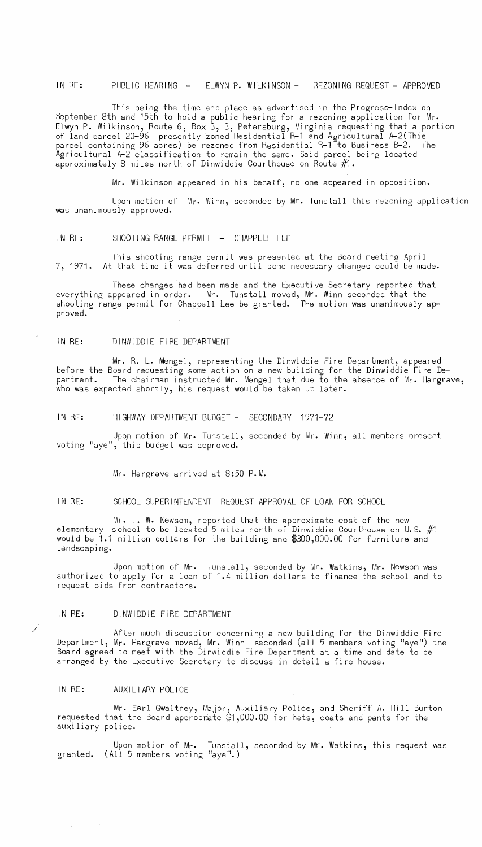IN RE: PUBLIC HEARING - ELWYN P. WILKINSON- REZONING REQUEST - APPROVED

This being the time and place as advertised in the Progress-Index on September 8th and 15th to hold a public hearing for a rezoning application for Mr. Elwyn P. Wilkinson, Route 6, Box 3, 3, Petersburg, Virginia requesting that a portion of land parcel 20-96 presently zoned Residential R-1 and Agricultural A-2(This parcel containing 96 acres) be rezoned from Residential R-1 to Business B-2. The Agricultural A-2 classification to remain the same. Said parcel being located approximately 8 miles north of Dinwiddie Courthouse on Route #1.

Mr. Wilkinson appeared in his behalf, no one appeared in opposition.

Upon motion of Mr. Winn, seconded by Mr. Tunstall this rezoning application was unanimously approved.

IN RE: SHOOTING RANGE PERMIT - CHAPPELL LEE

This shooting range permit was presented at the Board meeting April 7, 1971. At that time it was deferred until some necessary changes could be made.

These changes had been made and the Executive Secretary reported that everything appeared in order. Mr. Tunstall moved, Mr. Winn seconded that the shooting range permit for Chappell Lee be granted. The motion was unanimously approved.

## IN RE: DINWIDDIE FIRE DEPARTMENT

Mr. R. L. Mengel, representing the Dinwiddie Fire Department, appeared before the Board requesting some action on a new building for the Dinwiddie Fire Department. The chairman instructed Mr. Mengel that due to the absence of Mr. Hargrave, who was expected shortly, his request would be taken up later.

IN RE: HIGHWAY DEPARTMENT BUDGET - SECONDARY 1971-72

Upon motion of Mr. Tunstall, seconded by Mr. Winn, all members present voting "aye", this budget was approved.

Mr. Hargrave arrived at 8:50 P.M.

IN RE: SCHOOL SUPERINTENDENT REQUEST APPROVAL OF LOAN FOR SCHOOL

Mr. T. W. Newsom, reported that the approximate cost of the new elementary school to be located 5 miles north of Dinwiddie Courthouse on U.S.  $#1$ would be 1.1 million dollars for the building and \$300,000.00 for furniture and landscaping.

Upon motion of Mr. Tunstall, seconded by Mr. Watkins, Mr. Newsom was authorized to apply for a loan of 1.4 million dollars to finance the school and to request bids from contractors.

# IN RE: DINWIDDIE FIRE DEPARTMENT

After much discussion concerning a new building for the Dinwiddie Fire Department, Mr. Hargrave moved, Mr. Winn seconded (all 5 members voting "aye") the Board agreed to meet with the Dinwiddie Fire Department at a time and date to be arranged by the Executive Secretary to discuss in detail a fire house.

#### IN RE: AUXILIARY POLICE

 $\mathcal{L}^{(1)}$  and  $\mathcal{L}^{(2)}$ 

/

Mr. Earl Gwaltney, Major, Auxiliary Police, and Sheriff A. Hill Burton requested that the Board approprate  $\$1,000.00$  for hats, coats and pants for the auxiliary police.

Upon motion of Mr. Tunstall, seconded by Mr. Watkins, this request was granted. (All 5 members voting "aye".)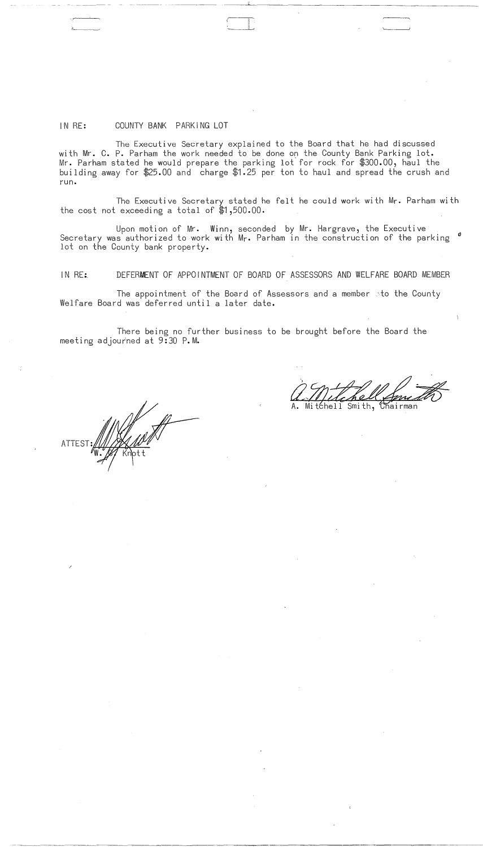## IN RE: COUNTY BANK PARKING LOT

The Executive Secretary explained to the Board that he had discussed with Mr. C. P. Parham the work needed to be done on the County Bank Parking lot. Mr. Parham stated he would prepare the parking lot for rock for \$300.00, haul the building away for \$25.00 and charge \$1.25 per ton to haul and spread the crush and run.

I  $\mathbb{R}^+$  $\overline{\phantom{a}}$ 

The Executive Secretary stated he felt he could work with Mr. Parham with the cost not exceeding a total of \$1,500.00.

Upon motion of Mr. Winn, seconded by Mr. Hargrave, the Executive Secretary was authorized to work with Mr. Parham in the construction of the parking  $\degree$ lot on the County bank property.

IN RE:. DEFERMENT OF APPOINTMENT OF BOARD OF ASSESSORS AND WELFARE BOARD MEMBER

The appointment of the Board of Assessors and a member sto the County Welfare Board was deferred until a later date.

There being no further business to be brought before the Board the meeting adjourned at 9:30 P.M.

 $\sim$ 

a. Mitchell Smith

 $\sim$   $\epsilon$ 

 $\mathcal{A}^{\mathcal{A}}$ 

**ATTEST** 

------~-.-----------~-----.-----

/